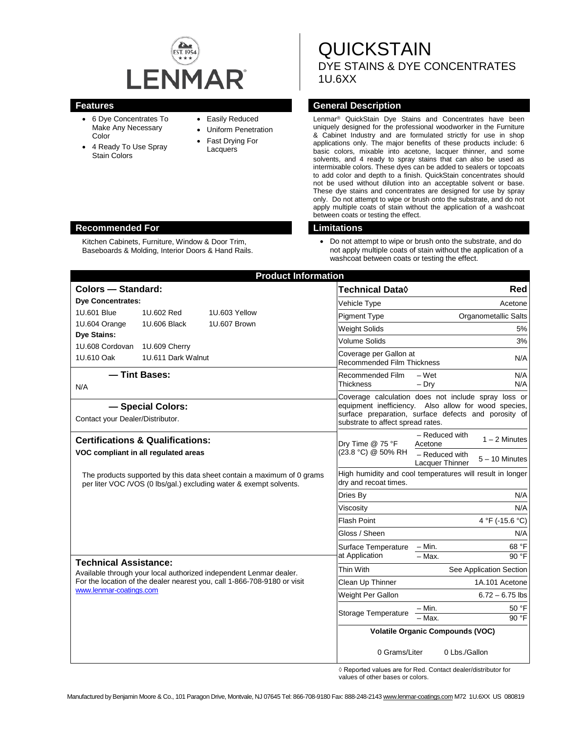

- 6 Dye Concentrates To Make Any Necessary Color
- 4 Ready To Use Spray Stain Colors

### • Easily Reduced

- Uniform Penetration
- Fast Drying For Lacquers

**QUICKSTAIN** DYE STAINS & DYE CONCENTRATES 1U.6XX

### **Features General Description**

Lenmar® QuickStain Dye Stains and Concentrates have been uniquely designed for the professional woodworker in the Furniture & Cabinet Industry and are formulated strictly for use in shop applications only. The major benefits of these products include: 6 basic colors, mixable into acetone, lacquer thinner, and some solvents, and 4 ready to spray stains that can also be used as intermixable colors. These dyes can be added to sealers or topcoats to add color and depth to a finish. QuickStain concentrates should not be used without dilution into an acceptable solvent or base. These dye stains and concentrates are designed for use by spray only. Do not attempt to wipe or brush onto the substrate, and do not apply multiple coats of stain without the application of a washcoat between coats or testing the effect.

• Do not attempt to wipe or brush onto the substrate, and do not apply multiple coats of stain without the application of a washcoat between coats or testing the effect.

| <b>Product Information</b>                                                                                                                                                                                |                                     |               |                                                      |                                                                                                                                                                                                          |  |  |
|-----------------------------------------------------------------------------------------------------------------------------------------------------------------------------------------------------------|-------------------------------------|---------------|------------------------------------------------------|----------------------------------------------------------------------------------------------------------------------------------------------------------------------------------------------------------|--|--|
| Colors - Standard:                                                                                                                                                                                        |                                     |               | Technical Data◊                                      | Red                                                                                                                                                                                                      |  |  |
| <b>Dye Concentrates:</b>                                                                                                                                                                                  |                                     |               | Vehicle Type                                         | Acetone                                                                                                                                                                                                  |  |  |
| 1U.601 Blue                                                                                                                                                                                               | 1U.602 Red                          | 1U.603 Yellow | <b>Pigment Type</b>                                  | <b>Organometallic Salts</b>                                                                                                                                                                              |  |  |
| 1U.604 Orange                                                                                                                                                                                             | 1U.606 Black                        | 1U.607 Brown  | <b>Weight Solids</b>                                 | 5%                                                                                                                                                                                                       |  |  |
| <b>Dye Stains:</b>                                                                                                                                                                                        |                                     |               | Volume Solids                                        | 3%                                                                                                                                                                                                       |  |  |
| 1U.608 Cordovan<br>1U.610 Oak                                                                                                                                                                             | 1U.609 Cherry<br>1U.611 Dark Walnut |               | Coverage per Gallon at<br>Recommended Film Thickness | N/A                                                                                                                                                                                                      |  |  |
| N/A                                                                                                                                                                                                       | - Tint Bases:                       |               | Recommended Film<br><b>Thickness</b>                 | $-Wet$<br>N/A<br>$-$ Dry<br>N/A                                                                                                                                                                          |  |  |
| - Special Colors:<br>Contact your Dealer/Distributor.                                                                                                                                                     |                                     |               |                                                      | Coverage calculation does not include spray loss or<br>equipment inefficiency. Also allow for wood species,<br>surface preparation, surface defects and porosity of<br>substrate to affect spread rates. |  |  |
| <b>Certifications &amp; Qualifications:</b><br>VOC compliant in all regulated areas                                                                                                                       |                                     |               | Dry Time @ 75 °F<br>(23.8 °C) @ 50% RH               | - Reduced with<br>$1 - 2$ Minutes<br>Acetone<br>- Reduced with<br>$5 - 10$ Minutes                                                                                                                       |  |  |
| The products supported by this data sheet contain a maximum of 0 grams<br>per liter VOC /VOS (0 lbs/gal.) excluding water & exempt solvents.                                                              |                                     |               | dry and recoat times.                                | Lacquer Thinner<br>High humidity and cool temperatures will result in longer                                                                                                                             |  |  |
|                                                                                                                                                                                                           |                                     |               | Dries By                                             | N/A                                                                                                                                                                                                      |  |  |
|                                                                                                                                                                                                           |                                     |               | Viscosity                                            | N/A                                                                                                                                                                                                      |  |  |
|                                                                                                                                                                                                           |                                     |               | <b>Flash Point</b>                                   | 4 °F (-15.6 °C)                                                                                                                                                                                          |  |  |
|                                                                                                                                                                                                           |                                     |               | Gloss / Sheen                                        | N/A                                                                                                                                                                                                      |  |  |
|                                                                                                                                                                                                           |                                     |               | Surface Temperature<br>at Application                | $- Min.$<br>68 °F<br>$-$ Max.<br>90 °F                                                                                                                                                                   |  |  |
| <b>Technical Assistance:</b><br>Available through your local authorized independent Lenmar dealer.<br>For the location of the dealer nearest you, call 1-866-708-9180 or visit<br>www.lenmar-coatings.com |                                     |               | Thin With                                            | See Application Section                                                                                                                                                                                  |  |  |
|                                                                                                                                                                                                           |                                     |               | Clean Up Thinner                                     | 1A.101 Acetone                                                                                                                                                                                           |  |  |
|                                                                                                                                                                                                           |                                     |               | Weight Per Gallon                                    | $6.72 - 6.75$ lbs                                                                                                                                                                                        |  |  |
|                                                                                                                                                                                                           |                                     |               | Storage Temperature                                  | 50 °F<br>– Min.<br>$-$ Max.<br>90 °F                                                                                                                                                                     |  |  |
|                                                                                                                                                                                                           |                                     |               |                                                      | <b>Volatile Organic Compounds (VOC)</b>                                                                                                                                                                  |  |  |
|                                                                                                                                                                                                           |                                     |               | 0 Grams/Liter                                        | 0 Lbs./Gallon                                                                                                                                                                                            |  |  |

◊ Reported values are for Red. Contact dealer/distributor for values of other bases or colors.

#### **Recommended For Limitations**

Kitchen Cabinets, Furniture, Window & Door Trim, Baseboards & Molding, Interior Doors & Hand Rails.